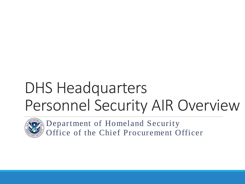# DHS Headquarters Personnel Security AIR Overview



Department of Homeland Security Office of the Chief Procurement Officer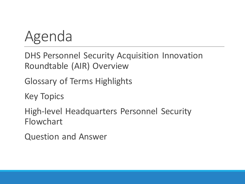# Agenda

DHS Personnel Security Acquisition Innovation Roundtable (AIR) Overview

Glossary of Terms Highlights

Key Topics

High-level Headquarters Personnel Security Flowchart

Question and Answer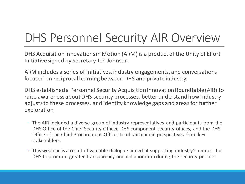### DHS Personnel Security AIR Overview

DHS Acquisition Innovations in Motion (AI*i*M) is a product of the Unity of Effort Initiative signed by Secretary Jeh Johnson.

AI*i*M includes a series of initiatives, industry engagements, and conversations focused on reciprocal learning between DHS and private industry.

DHS established a Personnel Security Acquisition Innovation Roundtable (AIR) to raise awareness about DHS security processes, better understand how industry adjusts to these processes, and identify knowledge gaps and areas for further exploration

- The AIR included a diverse group of industry representatives and participants from the DHS Office of the Chief Security Officer, DHS component security offices, and the DHS Office of the Chief Procurement Officer to obtain candid perspectives from key stakeholders.
- This webinar is a result of valuable dialogue aimed at supporting industry's request for DHS to promote greater transparency and collaboration during the security process.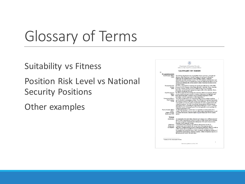# Glossary of Terms

Suitability vs Fitness Position Risk Level vs National Security Positions

Other examples

|                                                     | Department of Homeland Security                                                                                                                                               |  |
|-----------------------------------------------------|-------------------------------------------------------------------------------------------------------------------------------------------------------------------------------|--|
| Office of the Chief Procurement Officer             |                                                                                                                                                                               |  |
| <b>GLOSSARY OF TERMS</b><br>$\frac{1}{2}$           |                                                                                                                                                                               |  |
| <b>STAKEHOLDERS</b>                                 |                                                                                                                                                                               |  |
| Chief Security Officer<br>(CSO)                     | The CSO has Department-wide responsibility for the supervision, oversight and<br>direction of the Department's Security Programs for personnel, information                   |  |
|                                                     | technology and communications systems, facilities, property, equipment,<br>information and other material resources. The CSO establishes unified policies and                 |  |
|                                                     | business practices across the Department to ensure the efficient and effective use of                                                                                         |  |
|                                                     | resources in performing the actions needed to achieve functional excellence in the<br>Security Program.                                                                       |  |
| Personnel Security                                  | The PSD is responsible for evaluating and reporting the effectiveness of the DHS                                                                                              |  |
| Division<br>(PSD)                                   | Personnel Security Program; determining individuals' suitability, fitness, eligibility<br>to occupy a national security position or eligibility for access to classified      |  |
|                                                     | information; and notifying the appropriate program office of the suitability, fitness,<br>or eligibility adjudicative decision.                                               |  |
| Chief Procurement<br>Officer                        | The CPO is responsible for ensuring that contracting officials and program officials                                                                                          |  |
| (CPO)                                               | consider whether personnel security or clearance requirements are applicable and<br>insert appropriate agency or federal security program requirements in DHS                 |  |
| Contracting Officer's                               | solicitations, contracts, agreements, or other transactions. ?<br>The CORs are appointed by the Contracting Officer (CO) in writing to perform                                |  |
| Representative<br>(COR)                             | specific functions in managing a contract. The COR provides technical directions to<br>the contractor employee within the confines of the agreement. The CO and the COR       |  |
|                                                     | work together to ensure the contract requirements are clearly communicated to the                                                                                             |  |
|                                                     | contractor employee. The COR is the primary liaison between PSD and industry<br>representative and is responsible for submitting the DHS form 11000-25 <sup>1</sup> (Contract |  |
|                                                     | Suitability/Security Screening Request Form) and applicable security packages for<br>contractor applicants to PSD.                                                            |  |
| Facility Security Officer                           | An individual who has a "need to know" as it pertains to security matters for a                                                                                               |  |
| (FSO)/<br>Industry Security                         | contract. The FSO/ISP serves as a security subject matter expert for industry as well<br>as a liaison between the contractor employee or individual, and COR for security     |  |
| Professional (ISP)                                  | matters.                                                                                                                                                                      |  |
| <b>TERMS</b>                                        |                                                                                                                                                                               |  |
| Adjudication                                        | An examination of an individual's character and conduct over a sufficient period of<br>time to make a determination of fitness to work on a DHS contract and/or eligibility   |  |
|                                                     | for access to Sensitive Compartmented Information (SCI) and/or Special Access<br>Programs (SAP), materials, or areas.                                                         |  |
| Adjudicator                                         | A personnel security specialist who performs adjudications (see above).                                                                                                       |  |
| Background<br>Investigation                         | A generic term used to describe the various types of investigations into an<br>individual's background that are used to determine an individual's fitness to work on          |  |
|                                                     | a DHS contract and/or eligibility for access to SCI. SAP, materials, or areas.<br>Investigations are conducted using a variety of methods including the completion of         |  |
|                                                     | standard form questionnaires, electronic inquiries, written or telephonic inquiries, or                                                                                       |  |
|                                                     | through personal contact with individuals.                                                                                                                                    |  |
|                                                     |                                                                                                                                                                               |  |
| <sup>1</sup> Current (04/09) version under revision |                                                                                                                                                                               |  |
|                                                     | 1<br>Information gathered as of July 2016                                                                                                                                     |  |
|                                                     |                                                                                                                                                                               |  |
|                                                     |                                                                                                                                                                               |  |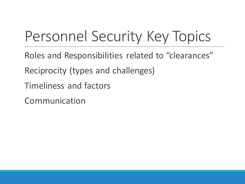## Personnel Security Key Topics

- Roles and Responsibilities related to "clearances" Reciprocity (types and challenges)
- Timeliness and factors
- Communication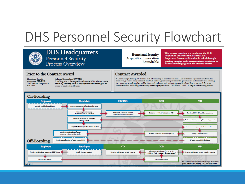### DHS Personnel Security Flowchart



### **DHS Headquarters** Personnel Security

Process Overview

#### **Homeland Security Acquisition Innovation** Roundtable

This process overview is a product of the DHS Acquisition Innovations in Motion (AIM) Acquisition Innovative Roundtable, which brought together industry and government representatives to discuss knowledge gaps in the security process.

### Prior to the Contract Award

**Homeland Security** releases an RFP/RFQ: SOW defines the position rick level

Industry Responds to RFP/RFQ: A staffing plan is developed based on the SOW released in the RFP/RFQ. Industry extends employment offer contingent on award of contract and fitness.

### **Contract Awarded**

A Contracting Officer (CO) holds a kick-off meeting to start the contract. This includes a representative from the<br>employer, possible key personnel, the COR and program manager from the government and industry side. During this meeting, a staffing plan will be discussed and reviewed with designated levels of fitness required. Security documentation, including the security screening request form: DHS Form 11000.25, begins the security process.